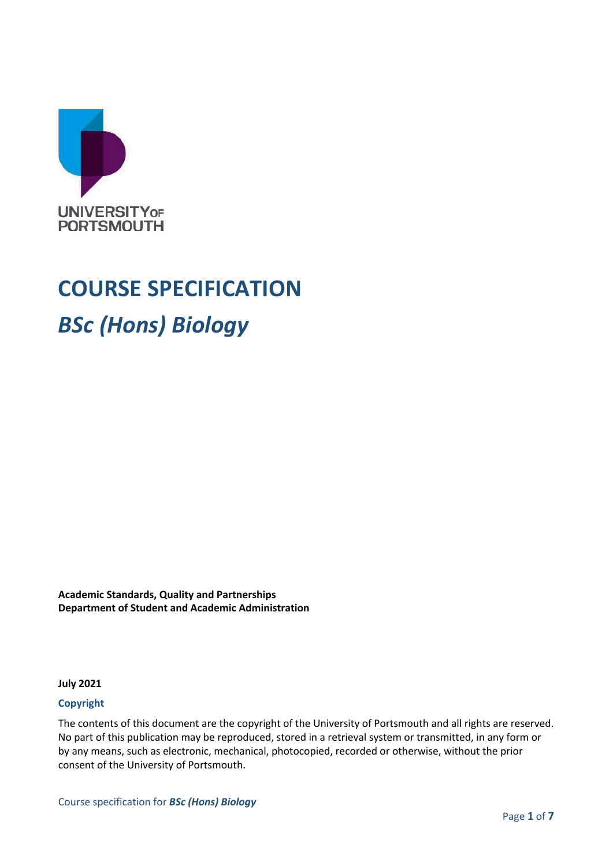

# **COURSE SPECIFICATION**

## *BSc (Hons) Biology*

**Academic Standards, Quality and Partnerships Department of Student and Academic Administration**

**July 2021**

#### **Copyright**

The contents of this document are the copyright of the University of Portsmouth and all rights are reserved. No part of this publication may be reproduced, stored in a retrieval system or transmitted, in any form or by any means, such as electronic, mechanical, photocopied, recorded or otherwise, without the prior consent of the University of Portsmouth.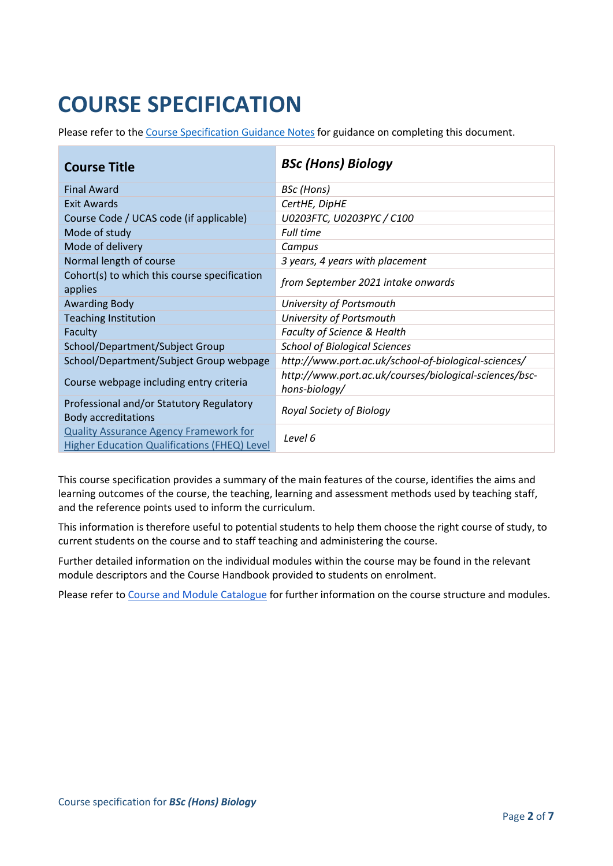# **COURSE SPECIFICATION**

Please refer to the [Course Specification Guidance Notes](http://www.port.ac.uk/departments/services/academicregistry/qmd/curriculum-framework-2019-20/filetodownload,201767,en.docx) for guidance on completing this document.

| <b>Course Title</b>                                                                           | <b>BSc (Hons) Biology</b>                                               |
|-----------------------------------------------------------------------------------------------|-------------------------------------------------------------------------|
| <b>Final Award</b>                                                                            | <b>BSc</b> (Hons)                                                       |
| <b>Exit Awards</b>                                                                            | CertHE, DipHE                                                           |
| Course Code / UCAS code (if applicable)                                                       | U0203FTC, U0203PYC / C100                                               |
| Mode of study                                                                                 | <b>Full time</b>                                                        |
| Mode of delivery                                                                              | Campus                                                                  |
| Normal length of course                                                                       | 3 years, 4 years with placement                                         |
| Cohort(s) to which this course specification<br>applies                                       | from September 2021 intake onwards                                      |
| <b>Awarding Body</b>                                                                          | University of Portsmouth                                                |
| <b>Teaching Institution</b>                                                                   | University of Portsmouth                                                |
| Faculty                                                                                       | Faculty of Science & Health                                             |
| School/Department/Subject Group                                                               | <b>School of Biological Sciences</b>                                    |
| School/Department/Subject Group webpage                                                       | http://www.port.ac.uk/school-of-biological-sciences/                    |
| Course webpage including entry criteria                                                       | http://www.port.ac.uk/courses/biological-sciences/bsc-<br>hons-biology/ |
| Professional and/or Statutory Regulatory<br><b>Body accreditations</b>                        | Royal Society of Biology                                                |
| <b>Quality Assurance Agency Framework for</b><br>Higher Education Qualifications (FHEQ) Level | Level 6                                                                 |

This course specification provides a summary of the main features of the course, identifies the aims and learning outcomes of the course, the teaching, learning and assessment methods used by teaching staff, and the reference points used to inform the curriculum.

This information is therefore useful to potential students to help them choose the right course of study, to current students on the course and to staff teaching and administering the course.

Further detailed information on the individual modules within the course may be found in the relevant module descriptors and the Course Handbook provided to students on enrolment.

Please refer to [Course and Module Catalogue](https://course-module-catalog.port.ac.uk/#/welcome) for further information on the course structure and modules.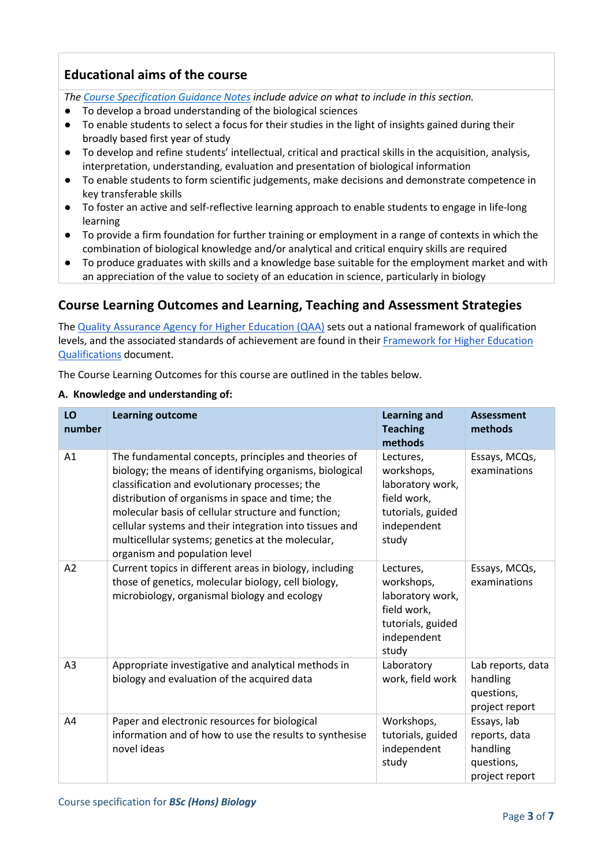#### **Educational aims of the course**

*The [Course Specification Guidance Notes](http://www.port.ac.uk/departments/services/academicregistry/qmd/curriculum-framework-2019-20/filetodownload,201767,en.docx) include advice on what to include in this section.*

- To develop a broad understanding of the biological sciences
- To enable students to select a focus for their studies in the light of insights gained during their broadly based first year of study
- To develop and refine students' intellectual, critical and practical skills in the acquisition, analysis, interpretation, understanding, evaluation and presentation of biological information
- To enable students to form scientific judgements, make decisions and demonstrate competence in key transferable skills
- To foster an active and self-reflective learning approach to enable students to engage in life-long learning
- To provide a firm foundation for further training or employment in a range of contexts in which the combination of biological knowledge and/or analytical and critical enquiry skills are required
- To produce graduates with skills and a knowledge base suitable for the employment market and with an appreciation of the value to society of an education in science, particularly in biology

#### **Course Learning Outcomes and Learning, Teaching and Assessment Strategies**

The [Quality Assurance Agency for Higher Education \(QAA\)](http://www.qaa.ac.uk/en) sets out a national framework of qualification levels, and the associated standards of achievement are found in their [Framework for Higher Education](https://www.qaa.ac.uk/quality-code/higher-education-credit-framework-for-england)  [Qualifications](https://www.qaa.ac.uk/quality-code/higher-education-credit-framework-for-england) document.

The Course Learning Outcomes for this course are outlined in the tables below.

#### **A. Knowledge and understanding of:**

| LO<br>number   | <b>Learning outcome</b>                                                                                                                                                                                                                                                                                                                                                                                                       | <b>Learning and</b><br><b>Teaching</b><br>methods                                                       | <b>Assessment</b><br>methods                                             |
|----------------|-------------------------------------------------------------------------------------------------------------------------------------------------------------------------------------------------------------------------------------------------------------------------------------------------------------------------------------------------------------------------------------------------------------------------------|---------------------------------------------------------------------------------------------------------|--------------------------------------------------------------------------|
| A1             | The fundamental concepts, principles and theories of<br>biology; the means of identifying organisms, biological<br>classification and evolutionary processes; the<br>distribution of organisms in space and time; the<br>molecular basis of cellular structure and function;<br>cellular systems and their integration into tissues and<br>multicellular systems; genetics at the molecular,<br>organism and population level | Lectures,<br>workshops,<br>laboratory work,<br>field work,<br>tutorials, guided<br>independent<br>study | Essays, MCQs,<br>examinations                                            |
| A <sub>2</sub> | Current topics in different areas in biology, including<br>those of genetics, molecular biology, cell biology,<br>microbiology, organismal biology and ecology                                                                                                                                                                                                                                                                | Lectures,<br>workshops,<br>laboratory work,<br>field work,<br>tutorials, guided<br>independent<br>study | Essays, MCQs,<br>examinations                                            |
| A3             | Appropriate investigative and analytical methods in<br>biology and evaluation of the acquired data                                                                                                                                                                                                                                                                                                                            | Laboratory<br>work, field work                                                                          | Lab reports, data<br>handling<br>questions,<br>project report            |
| A4             | Paper and electronic resources for biological<br>information and of how to use the results to synthesise<br>novel ideas                                                                                                                                                                                                                                                                                                       | Workshops,<br>tutorials, guided<br>independent<br>study                                                 | Essays, lab<br>reports, data<br>handling<br>questions,<br>project report |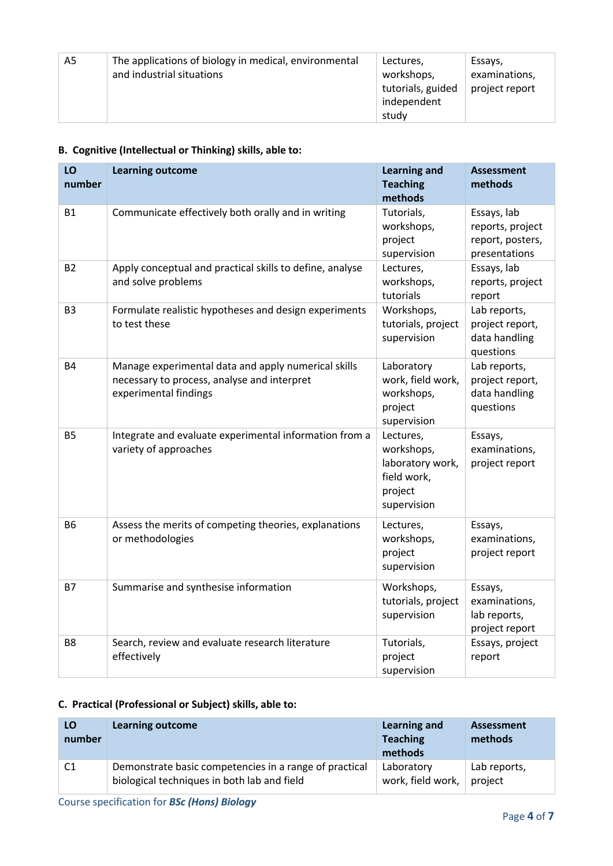| A5 | The applications of biology in medical, environmental<br>and industrial situations | Lectures,<br>workshops,<br>tutorials, guided<br>independent<br>study | Essays,<br>examinations,<br>project report |
|----|------------------------------------------------------------------------------------|----------------------------------------------------------------------|--------------------------------------------|
|----|------------------------------------------------------------------------------------|----------------------------------------------------------------------|--------------------------------------------|

#### **B. Cognitive (Intellectual or Thinking) skills, able to:**

| LO<br>number   | <b>Learning outcome</b>                                                                                                     | <b>Learning and</b><br><b>Teaching</b><br>methods                                    | <b>Assessment</b><br>methods                                         |
|----------------|-----------------------------------------------------------------------------------------------------------------------------|--------------------------------------------------------------------------------------|----------------------------------------------------------------------|
| <b>B1</b>      | Communicate effectively both orally and in writing                                                                          | Tutorials,<br>workshops,<br>project<br>supervision                                   | Essays, lab<br>reports, project<br>report, posters,<br>presentations |
| <b>B2</b>      | Apply conceptual and practical skills to define, analyse<br>and solve problems                                              | Lectures,<br>workshops,<br>tutorials                                                 | Essays, lab<br>reports, project<br>report                            |
| B <sub>3</sub> | Formulate realistic hypotheses and design experiments<br>to test these                                                      | Workshops,<br>tutorials, project<br>supervision                                      | Lab reports,<br>project report,<br>data handling<br>questions        |
| <b>B4</b>      | Manage experimental data and apply numerical skills<br>necessary to process, analyse and interpret<br>experimental findings | Laboratory<br>work, field work,<br>workshops,<br>project<br>supervision              | Lab reports,<br>project report,<br>data handling<br>questions        |
| <b>B5</b>      | Integrate and evaluate experimental information from a<br>variety of approaches                                             | Lectures,<br>workshops,<br>laboratory work,<br>field work,<br>project<br>supervision | Essays,<br>examinations,<br>project report                           |
| <b>B6</b>      | Assess the merits of competing theories, explanations<br>or methodologies                                                   | Lectures,<br>workshops,<br>project<br>supervision                                    | Essays,<br>examinations,<br>project report                           |
| <b>B7</b>      | Summarise and synthesise information                                                                                        | Workshops,<br>tutorials, project<br>supervision                                      | Essays,<br>examinations,<br>lab reports,<br>project report           |
| B <sub>8</sub> | Search, review and evaluate research literature<br>effectively                                                              | Tutorials,<br>project<br>supervision                                                 | Essays, project<br>report                                            |

#### **C. Practical (Professional or Subject) skills, able to:**

| LO<br>number | <b>Learning outcome</b>                                | Learning and<br><b>Teaching</b><br>methods | Assessment<br>methods |
|--------------|--------------------------------------------------------|--------------------------------------------|-----------------------|
|              | Demonstrate basic competencies in a range of practical | Laboratory                                 | Lab reports,          |
|              | biological techniques in both lab and field            | work, field work,                          | project               |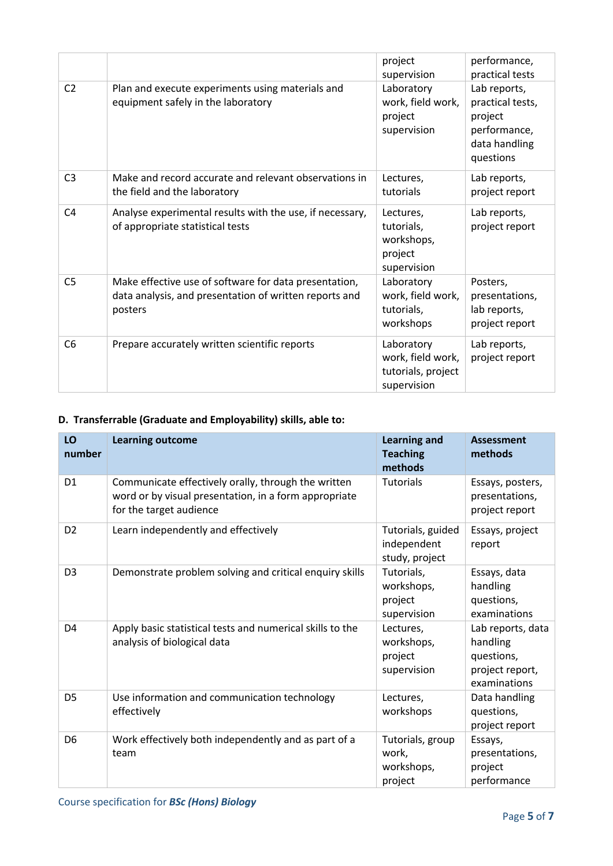|                |                                                                                                                            | project<br>supervision                                               | performance,<br>practical tests                                                           |
|----------------|----------------------------------------------------------------------------------------------------------------------------|----------------------------------------------------------------------|-------------------------------------------------------------------------------------------|
| C <sub>2</sub> | Plan and execute experiments using materials and<br>equipment safely in the laboratory                                     | Laboratory<br>work, field work,<br>project<br>supervision            | Lab reports,<br>practical tests,<br>project<br>performance,<br>data handling<br>questions |
| C <sub>3</sub> | Make and record accurate and relevant observations in<br>the field and the laboratory                                      | Lectures,<br>tutorials                                               | Lab reports,<br>project report                                                            |
| C <sub>4</sub> | Analyse experimental results with the use, if necessary,<br>of appropriate statistical tests                               | Lectures,<br>tutorials,<br>workshops,<br>project<br>supervision      | Lab reports,<br>project report                                                            |
| C <sub>5</sub> | Make effective use of software for data presentation,<br>data analysis, and presentation of written reports and<br>posters | Laboratory<br>work, field work,<br>tutorials,<br>workshops           | Posters,<br>presentations,<br>lab reports,<br>project report                              |
| C <sub>6</sub> | Prepare accurately written scientific reports                                                                              | Laboratory<br>work, field work,<br>tutorials, project<br>supervision | Lab reports,<br>project report                                                            |

#### **D. Transferrable (Graduate and Employability) skills, able to:**

| LO<br>number   | <b>Learning outcome</b>                                                                                                                 | <b>Learning and</b><br><b>Teaching</b><br>methods  | <b>Assessment</b><br>methods                                                   |
|----------------|-----------------------------------------------------------------------------------------------------------------------------------------|----------------------------------------------------|--------------------------------------------------------------------------------|
| D <sub>1</sub> | Communicate effectively orally, through the written<br>word or by visual presentation, in a form appropriate<br>for the target audience | <b>Tutorials</b>                                   | Essays, posters,<br>presentations,<br>project report                           |
| D <sub>2</sub> | Learn independently and effectively                                                                                                     | Tutorials, guided<br>independent<br>study, project | Essays, project<br>report                                                      |
| D <sub>3</sub> | Demonstrate problem solving and critical enquiry skills                                                                                 | Tutorials,<br>workshops,<br>project<br>supervision | Essays, data<br>handling<br>questions,<br>examinations                         |
| D <sub>4</sub> | Apply basic statistical tests and numerical skills to the<br>analysis of biological data                                                | Lectures,<br>workshops,<br>project<br>supervision  | Lab reports, data<br>handling<br>questions,<br>project report,<br>examinations |
| D <sub>5</sub> | Use information and communication technology<br>effectively                                                                             | Lectures,<br>workshops                             | Data handling<br>questions,<br>project report                                  |
| D <sub>6</sub> | Work effectively both independently and as part of a<br>team                                                                            | Tutorials, group<br>work,<br>workshops,<br>project | Essays,<br>presentations,<br>project<br>performance                            |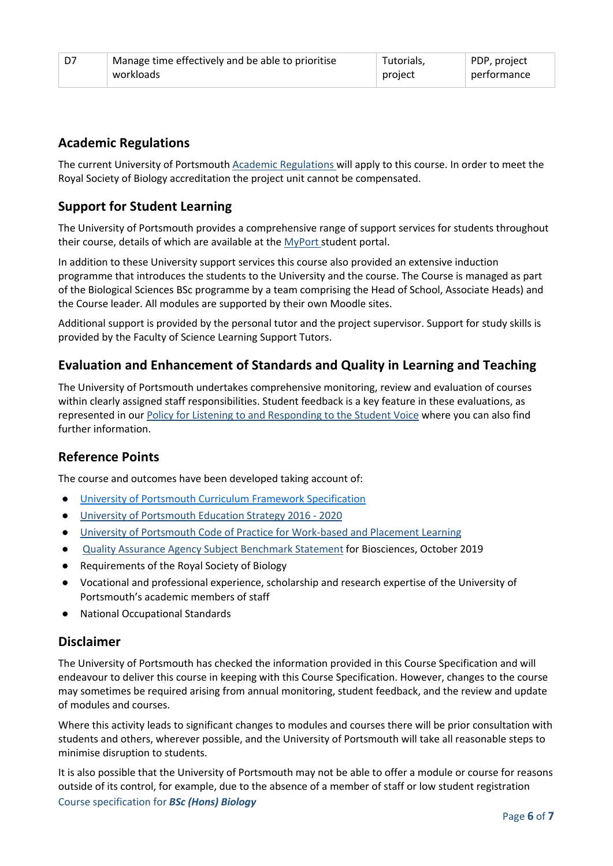| D7 | Manage time effectively and be able to prioritise | Tutorials, | PDP, project |
|----|---------------------------------------------------|------------|--------------|
|    | workloads                                         | project    | performance  |

#### **Academic Regulations**

The current University of Portsmouth [Academic Regulations](http://www.port.ac.uk/departments/services/academicregistry/qmd/assessmentandregulations/) will apply to this course. In order to meet the Royal Society of Biology accreditation the project unit cannot be compensated.

### **Support for Student Learning**

The University of Portsmouth provides a comprehensive range of support services for students throughout their course, details of which are available at the [MyPort](http://myport.ac.uk/) student portal.

In addition to these University support services this course also provided an extensive induction programme that introduces the students to the University and the course. The Course is managed as part of the Biological Sciences BSc programme by a team comprising the Head of School, Associate Heads) and the Course leader. All modules are supported by their own Moodle sites.

Additional support is provided by the personal tutor and the project supervisor. Support for study skills is provided by the Faculty of Science Learning Support Tutors.

#### **Evaluation and Enhancement of Standards and Quality in Learning and Teaching**

The University of Portsmouth undertakes comprehensive monitoring, review and evaluation of courses within clearly assigned staff responsibilities. Student feedback is a key feature in these evaluations, as represented in our [Policy for Listening to and Responding to the Student Voice](http://policies.docstore.port.ac.uk/policy-069.pdf) where you can also find further information.

#### **Reference Points**

The course and outcomes have been developed taking account of:

- [University of Portsmouth Curriculum Framework Specification](http://policies.docstore.port.ac.uk/policy-217.pdf?_ga=2.80596127.988573471.1600698712-86764541.1593710288)
- [University of Portsmouth Education Strategy 2016 -](http://policies.docstore.port.ac.uk/policy-187.pdf) 2020
- [University of Portsmouth Code of Practice for Work-based and Placement Learning](http://policies.docstore.port.ac.uk/policy-151.pdf)
- [Quality Assurance Agency Subject Benchmark Statement](https://www.qaa.ac.uk/docs/qaa/subject-benchmark-statements/subject-benchmark-statement-biosciences.pdf?sfvrsn=21f2c881_4) for Biosciences, October 2019
- Requirements of the Royal Society of Biology
- Vocational and professional experience, scholarship and research expertise of the University of Portsmouth's academic members of staff
- National Occupational Standards

#### **Disclaimer**

The University of Portsmouth has checked the information provided in this Course Specification and will endeavour to deliver this course in keeping with this Course Specification. However, changes to the course may sometimes be required arising from annual monitoring, student feedback, and the review and update of modules and courses.

Where this activity leads to significant changes to modules and courses there will be prior consultation with students and others, wherever possible, and the University of Portsmouth will take all reasonable steps to minimise disruption to students.

Course specification for *BSc (Hons) Biology* It is also possible that the University of Portsmouth may not be able to offer a module or course for reasons outside of its control, for example, due to the absence of a member of staff or low student registration